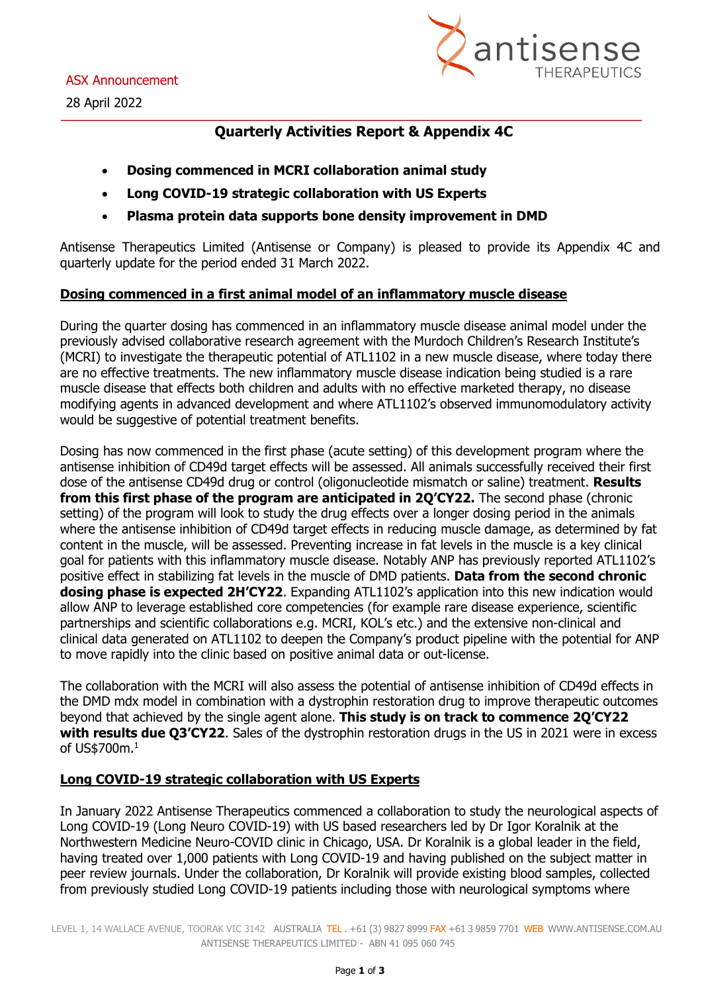

## **Quarterly Activities Report & Appendix 4C**

- **Dosing commenced in MCRI collaboration animal study**
- **Long COVID-19 strategic collaboration with US Experts**
- **Plasma protein data supports bone density improvement in DMD**

Antisense Therapeutics Limited (Antisense or Company) is pleased to provide its Appendix 4C and quarterly update for the period ended 31 March 2022.

### **Dosing commenced in a first animal model of an inflammatory muscle disease**

During the quarter dosing has commenced in an inflammatory muscle disease animal model under the previously advised collaborative research agreement with the Murdoch Children's Research Institute's (MCRI) to investigate the therapeutic potential of ATL1102 in a new muscle disease, where today there are no effective treatments. The new inflammatory muscle disease indication being studied is a rare muscle disease that effects both children and adults with no effective marketed therapy, no disease modifying agents in advanced development and where ATL1102's observed immunomodulatory activity would be suggestive of potential treatment benefits.

Dosing has now commenced in the first phase (acute setting) of this development program where the antisense inhibition of CD49d target effects will be assessed. All animals successfully received their first dose of the antisense CD49d drug or control (oligonucleotide mismatch or saline) treatment. **Results from this first phase of the program are anticipated in 2Q'CY22.** The second phase (chronic setting) of the program will look to study the drug effects over a longer dosing period in the animals where the antisense inhibition of CD49d target effects in reducing muscle damage, as determined by fat content in the muscle, will be assessed. Preventing increase in fat levels in the muscle is a key clinical goal for patients with this inflammatory muscle disease. Notably ANP has previously reported ATL1102's positive effect in stabilizing fat levels in the muscle of DMD patients. **Data from the second chronic dosing phase is expected 2H'CY22**. Expanding ATL1102's application into this new indication would allow ANP to leverage established core competencies (for example rare disease experience, scientific partnerships and scientific collaborations e.g. MCRI, KOL's etc.) and the extensive non-clinical and clinical data generated on ATL1102 to deepen the Company's product pipeline with the potential for ANP to move rapidly into the clinic based on positive animal data or out-license.

The collaboration with the MCRI will also assess the potential of antisense inhibition of CD49d effects in the DMD mdx model in combination with a dystrophin restoration drug to improve therapeutic outcomes beyond that achieved by the single agent alone. **This study is on track to commence 2Q'CY22 with results due Q3'CY22**. Sales of the dystrophin restoration drugs in the US in 2021 were in excess of US\$700m.<sup>1</sup>

### **Long COVID-19 strategic collaboration with US Experts**

In January 2022 Antisense Therapeutics commenced a collaboration to study the neurological aspects of Long COVID-19 (Long Neuro COVID-19) with US based researchers led by Dr Igor Koralnik at the Northwestern Medicine Neuro-COVID clinic in Chicago, USA. Dr Koralnik is a global leader in the field, having treated over 1,000 patients with Long COVID-19 and having published on the subject matter in peer review journals. Under the collaboration, Dr Koralnik will provide existing blood samples, collected from previously studied Long COVID-19 patients including those with neurological symptoms where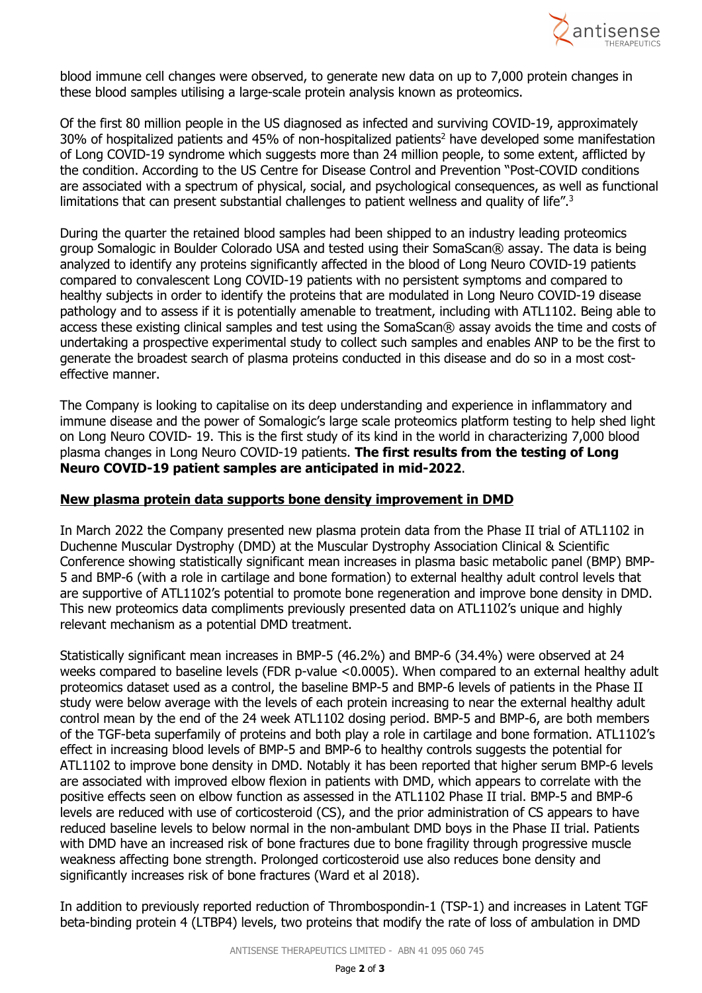

blood immune cell changes were observed, to generate new data on up to 7,000 protein changes in these blood samples utilising a large-scale protein analysis known as proteomics.

Of the first 80 million people in the US diagnosed as infected and surviving COVID-19, approximately 30% of hospitalized patients and 45% of non-hospitalized patients<sup>2</sup> have developed some manifestation of Long COVID-19 syndrome which suggests more than 24 million people, to some extent, afflicted by the condition. According to the US Centre for Disease Control and Prevention "Post-COVID conditions are associated with a spectrum of physical, social, and psychological consequences, as well as functional limitations that can present substantial challenges to patient wellness and quality of life".<sup>3</sup>

During the quarter the retained blood samples had been shipped to an industry leading proteomics group Somalogic in Boulder Colorado USA and tested using their SomaScan® assay. The data is being analyzed to identify any proteins significantly affected in the blood of Long Neuro COVID-19 patients compared to convalescent Long COVID-19 patients with no persistent symptoms and compared to healthy subjects in order to identify the proteins that are modulated in Long Neuro COVID-19 disease pathology and to assess if it is potentially amenable to treatment, including with ATL1102. Being able to access these existing clinical samples and test using the SomaScan® assay avoids the time and costs of undertaking a prospective experimental study to collect such samples and enables ANP to be the first to generate the broadest search of plasma proteins conducted in this disease and do so in a most costeffective manner.

The Company is looking to capitalise on its deep understanding and experience in inflammatory and immune disease and the power of Somalogic's large scale proteomics platform testing to help shed light on Long Neuro COVID- 19. This is the first study of its kind in the world in characterizing 7,000 blood plasma changes in Long Neuro COVID-19 patients. **The first results from the testing of Long Neuro COVID-19 patient samples are anticipated in mid-2022**.

#### **New plasma protein data supports bone density improvement in DMD**

In March 2022 the Company presented new plasma protein data from the Phase II trial of ATL1102 in Duchenne Muscular Dystrophy (DMD) at the Muscular Dystrophy Association Clinical & Scientific Conference showing statistically significant mean increases in plasma basic metabolic panel (BMP) BMP-5 and BMP-6 (with a role in cartilage and bone formation) to external healthy adult control levels that are supportive of ATL1102's potential to promote bone regeneration and improve bone density in DMD. This new proteomics data compliments previously presented data on ATL1102's unique and highly relevant mechanism as a potential DMD treatment.

Statistically significant mean increases in BMP-5 (46.2%) and BMP-6 (34.4%) were observed at 24 weeks compared to baseline levels (FDR p-value <0.0005). When compared to an external healthy adult proteomics dataset used as a control, the baseline BMP-5 and BMP-6 levels of patients in the Phase II study were below average with the levels of each protein increasing to near the external healthy adult control mean by the end of the 24 week ATL1102 dosing period. BMP-5 and BMP-6, are both members of the TGF-beta superfamily of proteins and both play a role in cartilage and bone formation. ATL1102's effect in increasing blood levels of BMP-5 and BMP-6 to healthy controls suggests the potential for ATL1102 to improve bone density in DMD. Notably it has been reported that higher serum BMP-6 levels are associated with improved elbow flexion in patients with DMD, which appears to correlate with the positive effects seen on elbow function as assessed in the ATL1102 Phase II trial. BMP-5 and BMP-6 levels are reduced with use of corticosteroid (CS), and the prior administration of CS appears to have reduced baseline levels to below normal in the non-ambulant DMD boys in the Phase II trial. Patients with DMD have an increased risk of bone fractures due to bone fragility through progressive muscle weakness affecting bone strength. Prolonged corticosteroid use also reduces bone density and significantly increases risk of bone fractures (Ward et al 2018).

In addition to previously reported reduction of Thrombospondin-1 (TSP-1) and increases in Latent TGF beta-binding protein 4 (LTBP4) levels, two proteins that modify the rate of loss of ambulation in DMD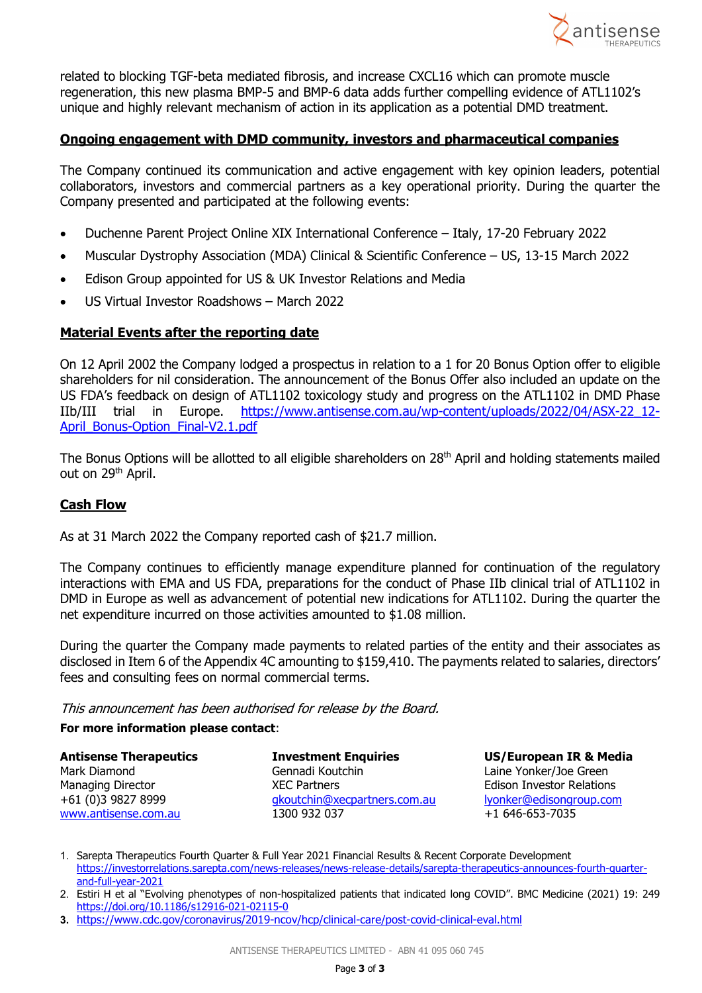

related to blocking TGF-beta mediated fibrosis, and increase CXCL16 which can promote muscle regeneration, this new plasma BMP-5 and BMP-6 data adds further compelling evidence of ATL1102's unique and highly relevant mechanism of action in its application as a potential DMD treatment.

#### **Ongoing engagement with DMD community, investors and pharmaceutical companies**

The Company continued its communication and active engagement with key opinion leaders, potential collaborators, investors and commercial partners as a key operational priority. During the quarter the Company presented and participated at the following events:

- Duchenne Parent Project Online XIX International Conference Italy, 17-20 February 2022
- Muscular Dystrophy Association (MDA) Clinical & Scientific Conference US, 13-15 March 2022
- Edison Group appointed for US & UK Investor Relations and Media
- US Virtual Investor Roadshows March 2022

#### **Material Events after the reporting date**

On 12 April 2002 the Company lodged a prospectus in relation to a 1 for 20 Bonus Option offer to eligible shareholders for nil consideration. The announcement of the Bonus Offer also included an update on the US FDA's feedback on design of ATL1102 toxicology study and progress on the ATL1102 in DMD Phase IIb/III trial in Europe. [https://www.antisense.com.au/wp-content/uploads/2022/04/ASX-22\\_12-](https://www.antisense.com.au/wp-content/uploads/2022/04/ASX-22_12-April_Bonus-Option_Final-V2.1.pdf) April\_Bonus-Option\_Final-V2.1.pdf

The Bonus Options will be allotted to all eligible shareholders on 28<sup>th</sup> April and holding statements mailed out on 29<sup>th</sup> April.

#### **Cash Flow**

As at 31 March 2022 the Company reported cash of \$21.7 million.

The Company continues to efficiently manage expenditure planned for continuation of the regulatory interactions with EMA and US FDA, preparations for the conduct of Phase IIb clinical trial of ATL1102 in DMD in Europe as well as advancement of potential new indications for ATL1102. During the quarter the net expenditure incurred on those activities amounted to \$1.08 million.

During the quarter the Company made payments to related parties of the entity and their associates as disclosed in Item 6 of the Appendix 4C amounting to \$159,410. The payments related to salaries, directors' fees and consulting fees on normal commercial terms.

This announcement has been authorised for release by the Board.

#### **For more information please contact**:

| <b>Antisense Therapeutics</b> | <b>Investment Enquiries</b>  |
|-------------------------------|------------------------------|
| Mark Diamond                  | Gennadi Koutchin             |
| <b>Managing Director</b>      | <b>XEC Partners</b>          |
| +61 (0)3 9827 8999            | gkoutchin@xecpartners.com.au |
| www.antisense.com.au          | 1300 932 037                 |

**US/European IR & Media** Laine Yonker/Joe Green Edison Investor Relations lyonker@edisongroup.com [www.antisense.com.au](http://www.antisense.com.au/) 1300 932 037+1 646-653-7035

1. Sarepta Therapeutics Fourth Quarter & Full Year 2021 Financial Results & Recent Corporate Development [https://investorrelations.sarepta.com/news-releases/news-release-details/sarepta-therapeutics-announces-fourth-quarter](https://investorrelations.sarepta.com/news-releases/news-release-details/sarepta-therapeutics-announces-fourth-quarter-and-full-year-2021)[and-full-year-2021](https://investorrelations.sarepta.com/news-releases/news-release-details/sarepta-therapeutics-announces-fourth-quarter-and-full-year-2021) 

2. Estiri H et al "Evolving phenotypes of non-hospitalized patients that indicated long COVID". BMC Medicine (2021) 19: 249 <https://doi.org/10.1186/s12916-021-02115-0>

**3.** <https://www.cdc.gov/coronavirus/2019-ncov/hcp/clinical-care/post-covid-clinical-eval.html>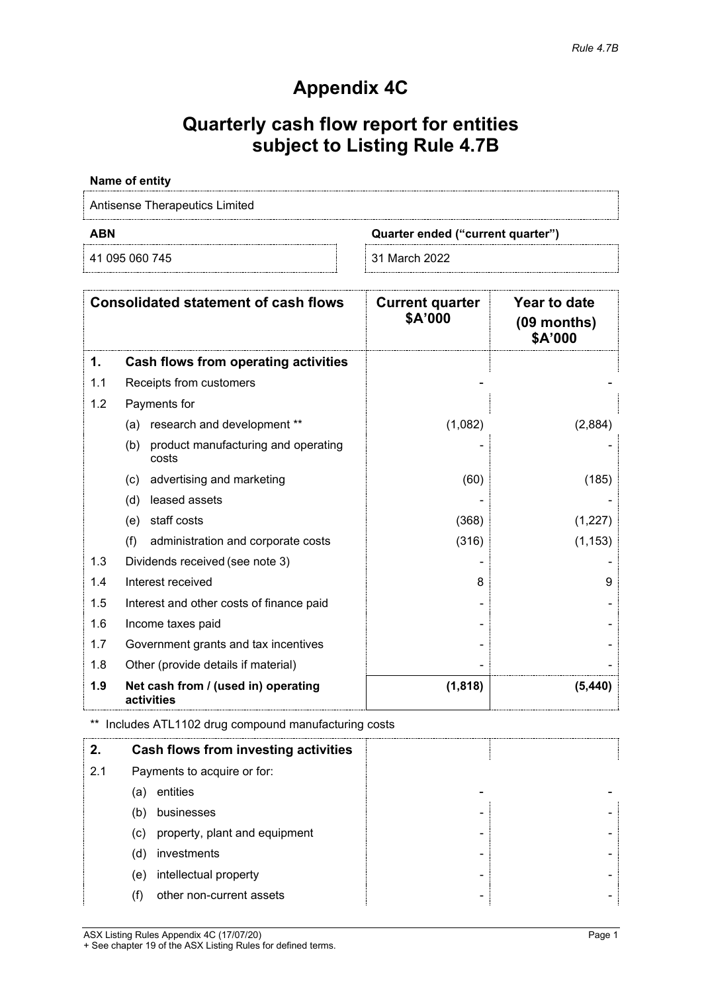# **Appendix 4C**

## **Quarterly cash flow report for entities subject to Listing Rule 4.7B**

#### **Name of entity**

Antisense Therapeutics Limited

41 095 060 745 31 March 2022

**ABN Quarter ended ("current quarter")**

|     | <b>Consolidated statement of cash flows</b>         | <b>Current quarter</b><br>\$A'000 | <b>Year to date</b><br>$(09$ months)<br>\$A'000 |
|-----|-----------------------------------------------------|-----------------------------------|-------------------------------------------------|
| 1.  | Cash flows from operating activities                |                                   |                                                 |
| 1.1 | Receipts from customers                             |                                   |                                                 |
| 1.2 | Payments for                                        |                                   |                                                 |
|     | research and development **<br>(a)                  | (1,082)                           | (2,884)                                         |
|     | product manufacturing and operating<br>(b)<br>costs |                                   |                                                 |
|     | advertising and marketing<br>(c)                    | (60)                              | (185)                                           |
|     | leased assets<br>(d)                                |                                   |                                                 |
|     | staff costs<br>(e)                                  | (368)                             | (1,227)                                         |
|     | (f)<br>administration and corporate costs           | (316)                             | (1, 153)                                        |
| 1.3 | Dividends received (see note 3)                     |                                   |                                                 |
| 1.4 | Interest received                                   | 8                                 | 9                                               |
| 1.5 | Interest and other costs of finance paid            |                                   |                                                 |
| 1.6 | Income taxes paid                                   |                                   |                                                 |
| 1.7 | Government grants and tax incentives                |                                   |                                                 |
| 1.8 | Other (provide details if material)                 |                                   |                                                 |
| 1.9 | Net cash from / (used in) operating<br>activities   | (1, 818)                          | (5, 440)                                        |

\*\* Includes ATL1102 drug compound manufacturing costs

|     |                             | Cash flows from investing activities |   |  |
|-----|-----------------------------|--------------------------------------|---|--|
| 2.1 | Payments to acquire or for: |                                      |   |  |
|     | (a)                         | entities                             |   |  |
|     | (b)                         | businesses                           |   |  |
|     | (c)                         | property, plant and equipment        |   |  |
|     | (d)                         | investments                          |   |  |
|     | (e)                         | intellectual property                |   |  |
|     |                             | other non-current assets             | ۰ |  |

ASX Listing Rules Appendix 4C (17/07/20) Page 1 + See chapter 19 of the ASX Listing Rules for defined terms.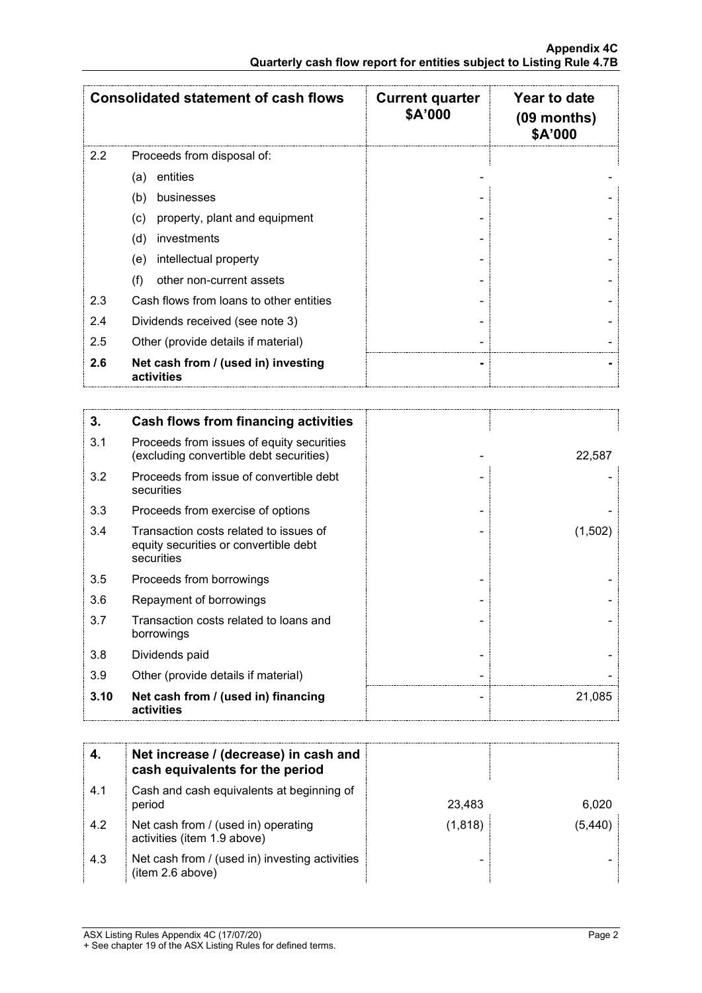|     | <b>Consolidated statement of cash flows</b>       | <b>Current quarter</b><br>\$A'000 | Year to date<br>$(09$ months)<br>\$A'000 |
|-----|---------------------------------------------------|-----------------------------------|------------------------------------------|
| 2.2 | Proceeds from disposal of:                        |                                   |                                          |
|     | entities<br>(a)                                   |                                   |                                          |
|     | (b)<br>businesses                                 |                                   |                                          |
|     | property, plant and equipment<br>(c)              |                                   |                                          |
|     | investments<br>(d)                                |                                   |                                          |
|     | intellectual property<br>(e)                      |                                   |                                          |
|     | other non-current assets<br>(f)                   |                                   |                                          |
| 2.3 | Cash flows from loans to other entities           |                                   |                                          |
| 2.4 | Dividends received (see note 3)                   |                                   |                                          |
| 2.5 | Other (provide details if material)               |                                   |                                          |
| 2.6 | Net cash from / (used in) investing<br>activities |                                   |                                          |

| 3.   | Cash flows from financing activities                                                          |         |
|------|-----------------------------------------------------------------------------------------------|---------|
| 3.1  | Proceeds from issues of equity securities<br>(excluding convertible debt securities)          | 22,587  |
| 3.2  | Proceeds from issue of convertible debt<br>securities                                         |         |
| 3.3  | Proceeds from exercise of options                                                             |         |
| 3.4  | Transaction costs related to issues of<br>equity securities or convertible debt<br>securities | (1,502) |
| 3.5  | Proceeds from borrowings                                                                      |         |
| 3.6  | Repayment of borrowings                                                                       |         |
| 3.7  | Transaction costs related to loans and<br>borrowings                                          |         |
| 3.8  | Dividends paid                                                                                |         |
| 3.9  | Other (provide details if material)                                                           |         |
| 3.10 | Net cash from / (used in) financing<br>activities                                             | 21,085  |

|     | Net increase / (decrease) in cash and<br>cash equivalents for the period |          |        |
|-----|--------------------------------------------------------------------------|----------|--------|
| 4.1 | Cash and cash equivalents at beginning of<br>period                      | 23,483   | 6.020  |
| 4.2 | Net cash from / (used in) operating<br>activities (item 1.9 above)       | (1, 818) | (5.440 |
| 4.3 | Net cash from / (used in) investing activities<br>(item 2.6 above)       |          |        |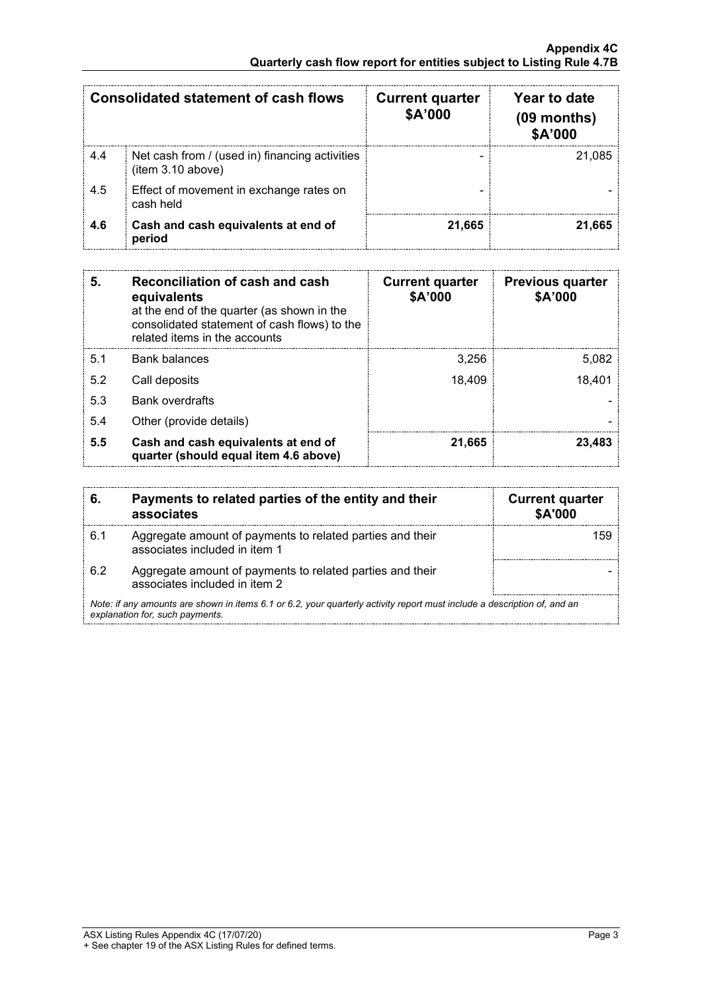| <b>Consolidated statement of cash flows</b><br><b>Current quarter</b><br>\$A'000 |                                                                     |        | Year to date<br>$(09$ months)<br>\$A'000 |
|----------------------------------------------------------------------------------|---------------------------------------------------------------------|--------|------------------------------------------|
| 4.4                                                                              | Net cash from / (used in) financing activities<br>(item 3.10 above) |        | 21.085                                   |
| 4.5                                                                              | Effect of movement in exchange rates on<br>cash held                |        |                                          |
| 4.6                                                                              | Cash and cash equivalents at end of<br>period                       | 21.665 | 21.665                                   |

| 5.  | Reconciliation of cash and cash<br>equivalents<br>at the end of the quarter (as shown in the<br>consolidated statement of cash flows) to the<br>related items in the accounts | <b>Current quarter</b><br>\$A'000 | <b>Previous quarter</b><br>\$A'000 |
|-----|-------------------------------------------------------------------------------------------------------------------------------------------------------------------------------|-----------------------------------|------------------------------------|
| 5.1 | <b>Bank balances</b>                                                                                                                                                          | 3,256                             | 5,082                              |
| 5.2 | Call deposits                                                                                                                                                                 | 18,409                            | 18,401                             |
| 5.3 | <b>Bank overdrafts</b>                                                                                                                                                        |                                   |                                    |
| 5.4 | Other (provide details)                                                                                                                                                       |                                   |                                    |
| 5.5 | Cash and cash equivalents at end of<br>quarter (should equal item 4.6 above)                                                                                                  | 21,665                            | 23.483                             |

| 6.                                                                                                                                                          | Payments to related parties of the entity and their<br>associates                          | <b>Current quarter</b><br><b>\$A'000</b> |
|-------------------------------------------------------------------------------------------------------------------------------------------------------------|--------------------------------------------------------------------------------------------|------------------------------------------|
| 6.1                                                                                                                                                         | Aggregate amount of payments to related parties and their<br>associates included in item 1 |                                          |
| 6.2                                                                                                                                                         | Aggregate amount of payments to related parties and their<br>associates included in item 2 |                                          |
| Note: if any amounts are shown in items 6.1 or 6.2, your quarterly activity report must include a description of, and an<br>explanation for, such payments. |                                                                                            |                                          |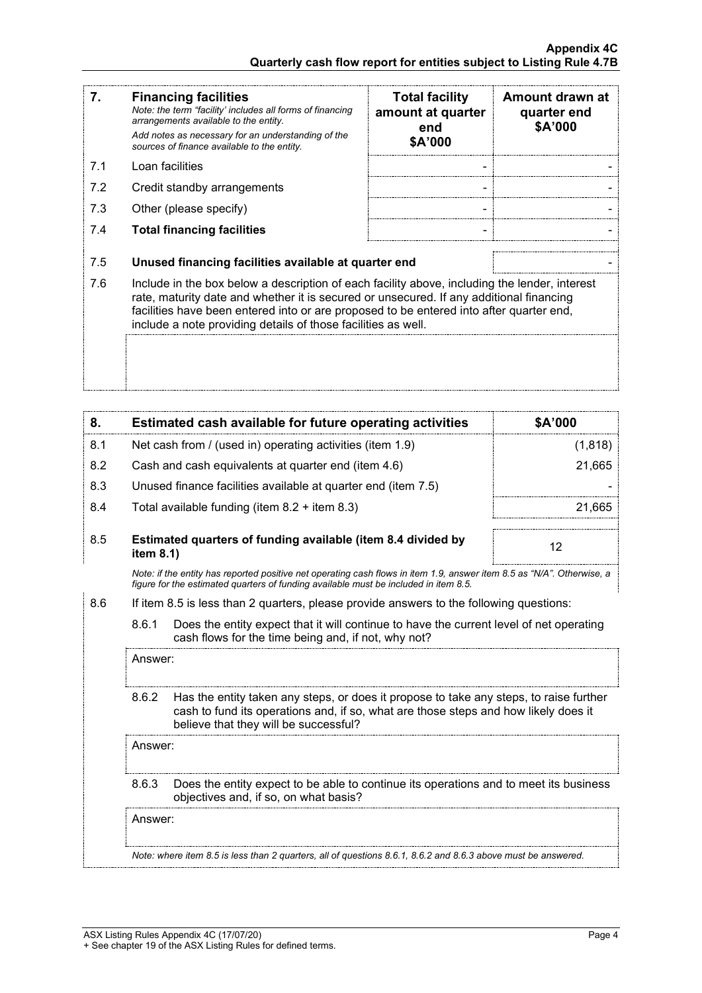| 7.  | <b>Financing facilities</b><br>Note: the term "facility' includes all forms of financing<br>arrangements available to the entity.<br>Add notes as necessary for an understanding of the<br>sources of finance available to the entity.                                                                                                               | <b>Total facility</b><br>amount at quarter<br>end<br>\$A'000 | Amount drawn at<br>quarter end<br>\$A'000 |
|-----|------------------------------------------------------------------------------------------------------------------------------------------------------------------------------------------------------------------------------------------------------------------------------------------------------------------------------------------------------|--------------------------------------------------------------|-------------------------------------------|
| 7.1 | Loan facilities                                                                                                                                                                                                                                                                                                                                      |                                                              |                                           |
| 7.2 | Credit standby arrangements                                                                                                                                                                                                                                                                                                                          |                                                              |                                           |
| 7.3 | Other (please specify)                                                                                                                                                                                                                                                                                                                               |                                                              |                                           |
| 7.4 | <b>Total financing facilities</b>                                                                                                                                                                                                                                                                                                                    |                                                              |                                           |
| 7.5 | Unused financing facilities available at quarter end                                                                                                                                                                                                                                                                                                 |                                                              |                                           |
| 7.6 | Include in the box below a description of each facility above, including the lender, interest<br>rate, maturity date and whether it is secured or unsecured. If any additional financing<br>facilities have been entered into or are proposed to be entered into after quarter end,<br>include a note providing details of those facilities as well. |                                                              |                                           |
|     |                                                                                                                                                                                                                                                                                                                                                      |                                                              |                                           |

| 8.  |           | Estimated cash available for future operating activities                                                                                                                                                               | \$A'000 |
|-----|-----------|------------------------------------------------------------------------------------------------------------------------------------------------------------------------------------------------------------------------|---------|
| 8.1 |           | Net cash from / (used in) operating activities (item 1.9)                                                                                                                                                              | (1,818) |
| 8.2 |           | Cash and cash equivalents at quarter end (item 4.6)                                                                                                                                                                    | 21,665  |
| 8.3 |           | Unused finance facilities available at quarter end (item 7.5)                                                                                                                                                          |         |
| 8.4 |           | Total available funding (item $8.2 +$ item $8.3$ )                                                                                                                                                                     | 21,665  |
| 8.5 | item 8.1) | Estimated quarters of funding available (item 8.4 divided by                                                                                                                                                           | 12      |
|     |           | Note: if the entity has reported positive net operating cash flows in item 1.9, answer item 8.5 as "N/A". Otherwise, a<br>figure for the estimated quarters of funding available must be included in item 8.5.         |         |
| 8.6 |           | If item 8.5 is less than 2 quarters, please provide answers to the following questions:                                                                                                                                |         |
|     | 8.6.1     | Does the entity expect that it will continue to have the current level of net operating<br>cash flows for the time being and, if not, why not?                                                                         |         |
|     | Answer:   |                                                                                                                                                                                                                        |         |
|     | 8.6.2     | Has the entity taken any steps, or does it propose to take any steps, to raise further<br>cash to fund its operations and, if so, what are those steps and how likely does it<br>believe that they will be successful? |         |
|     | Answer:   |                                                                                                                                                                                                                        |         |
|     | 8.6.3     | Does the entity expect to be able to continue its operations and to meet its business<br>objectives and, if so, on what basis?                                                                                         |         |
|     | Answer:   |                                                                                                                                                                                                                        |         |
|     |           | Note: where item 8.5 is less than 2 quarters, all of questions 8.6.1, 8.6.2 and 8.6.3 above must be answered.                                                                                                          |         |